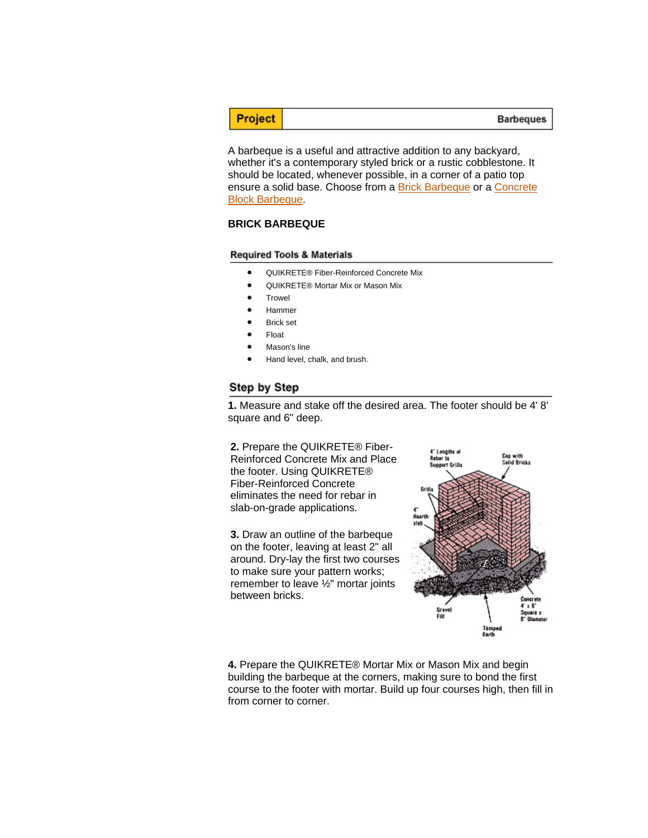# Project

A barbeque is a useful and attractive addition to any backyard, whether it's a contemporary styled brick or a rustic cobblestone. It should be located, whenever possible, in a corner of a patio top ensure a solid base. Choose from a Brick Barbeque or a Concrete Block Barbeque.

### **BRICK BARBEQUE**

#### **Required Tools & Materials**

- QUIKRETE® Fiber-Reinforced Concrete Mix
- QUIKRETE® Mortar Mix or Mason Mix
- **Trowel**
- Hammer
- **Brick set**
- Float
- Mason's line
- Hand level, chalk, and brush.

#### Step by Step

**1.** Measure and stake off the desired area. The footer should be 4' 8' square and 6" deep.

**2.** Prepare the QUIKRETE® Fiber-Reinforced Concrete Mix and Place the footer. Using QUIKRETE® Fiber-Reinforced Concrete eliminates the need for rebar in slab-on-grade applications.

**3.** Draw an outline of the barbeque on the footer, leaving at least 2" all around. Dry-lay the first two courses to make sure your pattern works; remember to leave ½" mortar joints between bricks.



**4.** Prepare the QUIKRETE® Mortar Mix or Mason Mix and begin building the barbeque at the corners, making sure to bond the first course to the footer with mortar. Build up four courses high, then fill in from corner to corner.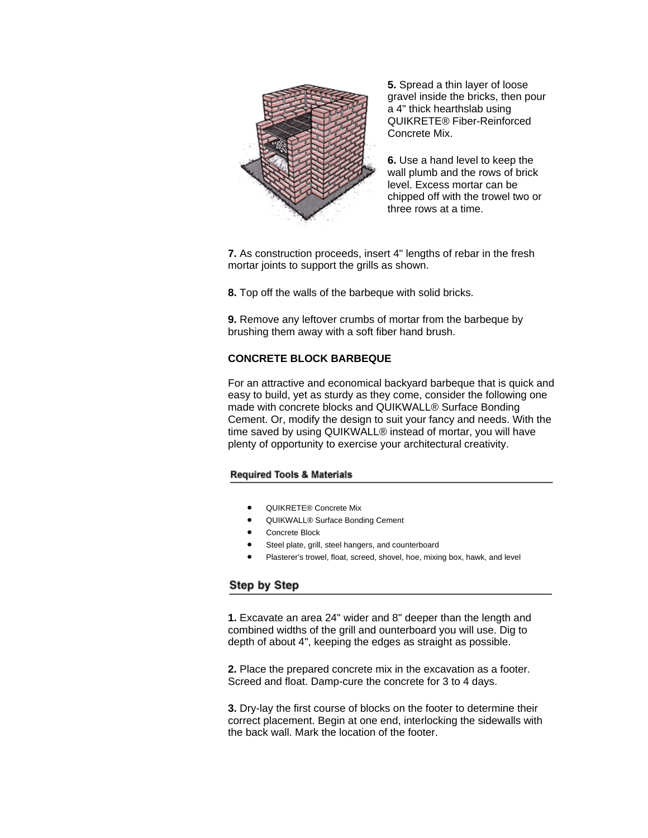

**5.** Spread a thin layer of loose gravel inside the bricks, then pour a 4" thick hearthslab using QUIKRETE® Fiber-Reinforced Concrete Mix.

**6.** Use a hand level to keep the wall plumb and the rows of brick level. Excess mortar can be chipped off with the trowel two or three rows at a time.

**7.** As construction proceeds, insert 4" lengths of rebar in the fresh mortar joints to support the grills as shown.

**8.** Top off the walls of the barbeque with solid bricks.

**9.** Remove any leftover crumbs of mortar from the barbeque by brushing them away with a soft fiber hand brush.

### **CONCRETE BLOCK BARBEQUE**

For an attractive and economical backyard barbeque that is quick and easy to build, yet as sturdy as they come, consider the following one made with concrete blocks and QUIKWALL® Surface Bonding Cement. Or, modify the design to suit your fancy and needs. With the time saved by using QUIKWALL® instead of mortar, you will have plenty of opportunity to exercise your architectural creativity.

### **Required Tools & Materials**

- QUIKRETE® Concrete Mix
- QUIKWALL® Surface Bonding Cement
- Concrete Block
- Steel plate, grill, steel hangers, and counterboard
- Plasterer's trowel, float, screed, shovel, hoe, mixing box, hawk, and level

## Step by Step

**1.** Excavate an area 24" wider and 8" deeper than the length and combined widths of the grill and ounterboard you will use. Dig to depth of about 4", keeping the edges as straight as possible.

**2.** Place the prepared concrete mix in the excavation as a footer. Screed and float. Damp-cure the concrete for 3 to 4 days.

**3.** Dry-lay the first course of blocks on the footer to determine their correct placement. Begin at one end, interlocking the sidewalls with the back wall. Mark the location of the footer.